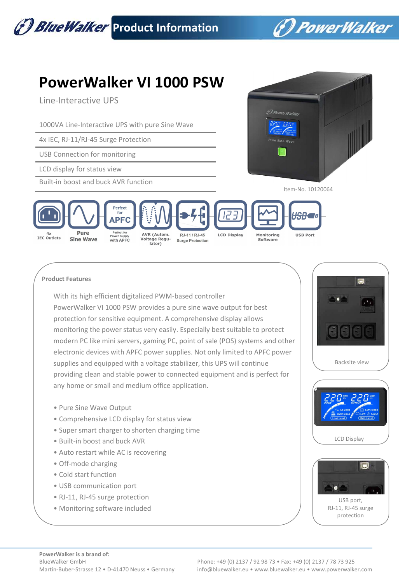

 **Product Features** 

With its high efficient digitalized PWM-based controller PowerWalker VI 1000 PSW provides a pure sine wave output for best protection for sensitive equipment. A comprehensive display allows monitoring the power status very easily. Especially best suitable to protect modern PC like mini servers, gaming PC, point of sale (POS) systems and other electronic devices with APFC power supplies. Not only limited to APFC power supplies and equipped with a voltage stabilizer, this UPS will continue providing clean and stable power to connected equipment and is perfect for any home or small and medium office application.

- Pure Sine Wave Output
- Comprehensive LCD display for status view
- Super smart charger to shorten charging time
- Built-in boost and buck AVR
- Auto restart while AC is recovering
- Off-mode charging
- Cold start function
- USB communication port
- RJ-11, RJ-45 surge protection
- Monitoring software included